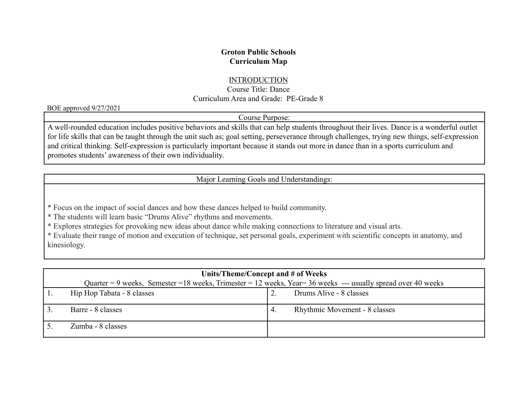## **Groton Public Schools Curriculum Map**

## **INTRODUCTION**

Course Title: Dance Curriculum Area and Grade: PE-Grade 8

BOE approved 9/27/2021

Course Purpose:

A well-rounded education includes positive behaviors and skills that can help students throughout their lives. Dance is a wonderful outlet for life skills that can be taught through the unit such as; goal setting, perseverance through challenges, trying new things, self-expression and critical thinking. Self-expression is particularly important because it stands out more in dance than in a sports curriculum and promotes students' awareness of their own individuality.

Major Learning Goals and Understandings:

\* Focus on the impact of social dances and how these dances helped to build community.

\* The students will learn basic "Drums Alive" rhythms and movements.

\* Explores strategies for provoking new ideas about dance while making connections to literature and visual arts.

\* Evaluate their range of motion and execution of technique, set personal goals, experiment with scientific concepts in anatomy, and kinesiology.

| Units/Theme/Concept and # of Weeks                                                                             |               |                               |  |  |  |
|----------------------------------------------------------------------------------------------------------------|---------------|-------------------------------|--|--|--|
| Quarter = 9 weeks, Semester = 18 weeks, Trimester = 12 weeks, Year = 36 weeks --- usually spread over 40 weeks |               |                               |  |  |  |
| Hip Hop Tabata - 8 classes                                                                                     |               | Drums Alive - 8 classes       |  |  |  |
| Barre - 8 classes                                                                                              | $^{\circ}$ 4. | Rhythmic Movement - 8 classes |  |  |  |
| Zumba - 8 classes                                                                                              |               |                               |  |  |  |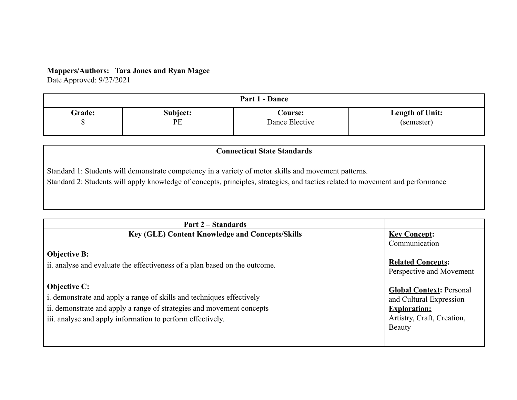## **Mappers/Authors: Tara Jones and Ryan Magee**

Date Approved: 9/27/2021

| Part 1 - Dance        |                |                                  |                                      |  |
|-----------------------|----------------|----------------------------------|--------------------------------------|--|
| Grade:<br><br>$\circ$ | Subject:<br>PE | <b>Course:</b><br>Dance Elective | <b>Length of Unit:</b><br>(semester) |  |

#### **Connecticut State Standards**

Standard 1: Students will demonstrate competency in a variety of motor skills and movement patterns.

Standard 2: Students will apply knowledge of concepts, principles, strategies, and tactics related to movement and performance

| Part 2 – Standards                                                                                                                                                                                                                  |                                                                                                                                  |
|-------------------------------------------------------------------------------------------------------------------------------------------------------------------------------------------------------------------------------------|----------------------------------------------------------------------------------------------------------------------------------|
| Key (GLE) Content Knowledge and Concepts/Skills                                                                                                                                                                                     | <b>Key Concept:</b><br>Communication                                                                                             |
| <b>Objective B:</b><br>ii. analyse and evaluate the effectiveness of a plan based on the outcome.                                                                                                                                   | <b>Related Concepts:</b><br>Perspective and Movement                                                                             |
| <b>Objective C:</b><br>i. demonstrate and apply a range of skills and techniques effectively<br>ii. demonstrate and apply a range of strategies and movement concepts<br>iii. analyse and apply information to perform effectively. | <b>Global Context: Personal</b><br>and Cultural Expression<br><b>Exploration:</b><br>Artistry, Craft, Creation,<br><b>Beauty</b> |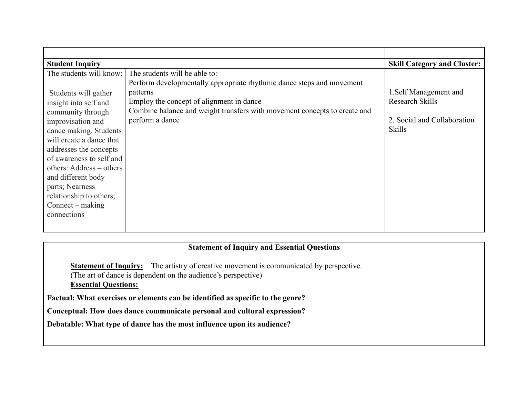| <b>Student Inquiry</b>   |                                                                           | <b>Skill Category and Cluster:</b> |
|--------------------------|---------------------------------------------------------------------------|------------------------------------|
| The students will know:  | The students will be able to:                                             |                                    |
|                          | Perform developmentally appropriate rhythmic dance steps and movement     |                                    |
| Students will gather     | patterns                                                                  | 1. Self Management and             |
| insight into self and    | Employ the concept of alignment in dance                                  | Research Skills                    |
| community through        | Combine balance and weight transfers with movement concepts to create and |                                    |
| improvisation and        | perform a dance                                                           | 2. Social and Collaboration        |
| dance making. Students   |                                                                           | <b>Skills</b>                      |
| will create a dance that |                                                                           |                                    |
| addresses the concepts   |                                                                           |                                    |
| of awareness to self and |                                                                           |                                    |
| others: Address – others |                                                                           |                                    |
| and different body       |                                                                           |                                    |
| parts; Nearness -        |                                                                           |                                    |
| relationship to others;  |                                                                           |                                    |
| $Connect - making$       |                                                                           |                                    |
| connections              |                                                                           |                                    |
|                          |                                                                           |                                    |

### **Statement of Inquiry and Essential Questions**

**Statement of Inquiry:** The artistry of creative movement is communicated by perspective. (The art of dance is dependent on the audience's perspective) **Essential Questions:**

**Factual: What exercises or elements can be identified as specific to the genre?**

**Conceptual: How does dance communicate personal and cultural expression?**

**Debatable: What type of dance has the most influence upon its audience?**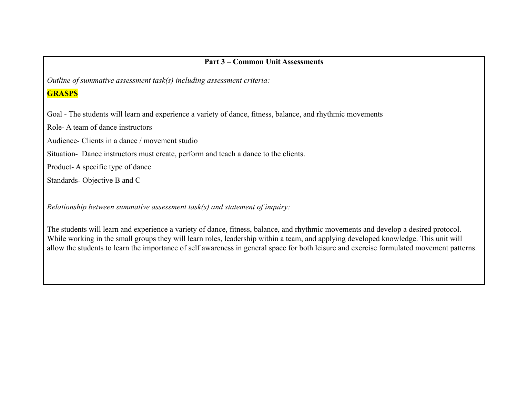# **Part 3 – Common Unit Assessments**

*Outline of summative assessment task(s) including assessment criteria:*

## **GRASPS**

Goal - The students will learn and experience a variety of dance, fitness, balance, and rhythmic movements

Role- A team of dance instructors

Audience- Clients in a dance / movement studio

Situation- Dance instructors must create, perform and teach a dance to the clients.

Product- A specific type of dance

Standards- Objective B and C

*Relationship between summative assessment task(s) and statement of inquiry:*

The students will learn and experience a variety of dance, fitness, balance, and rhythmic movements and develop a desired protocol. While working in the small groups they will learn roles, leadership within a team, and applying developed knowledge. This unit will allow the students to learn the importance of self awareness in general space for both leisure and exercise formulated movement patterns.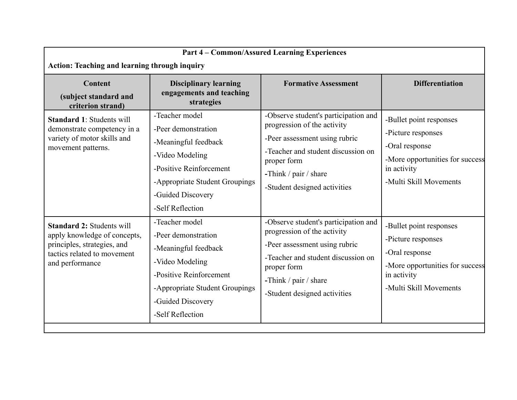| <b>Part 4 - Common/Assured Learning Experiences</b><br><b>Action: Teaching and learning through inquiry</b>                                       |                                                                                                                                                                                        |                                                                                                                                                                                                                        |                                                                                                                                             |  |
|---------------------------------------------------------------------------------------------------------------------------------------------------|----------------------------------------------------------------------------------------------------------------------------------------------------------------------------------------|------------------------------------------------------------------------------------------------------------------------------------------------------------------------------------------------------------------------|---------------------------------------------------------------------------------------------------------------------------------------------|--|
| Content<br>(subject standard and<br>criterion strand)                                                                                             | <b>Disciplinary learning</b><br>engagements and teaching<br>strategies                                                                                                                 | <b>Formative Assessment</b>                                                                                                                                                                                            | <b>Differentiation</b>                                                                                                                      |  |
| <b>Standard 1: Students will</b><br>demonstrate competency in a<br>variety of motor skills and<br>movement patterns.                              | -Teacher model<br>-Peer demonstration<br>-Meaningful feedback<br>-Video Modeling<br>-Positive Reinforcement<br>-Appropriate Student Groupings<br>-Guided Discovery<br>-Self Reflection | -Observe student's participation and<br>progression of the activity<br>-Peer assessment using rubric<br>-Teacher and student discussion on<br>proper form<br>-Think / pair / share<br>-Student designed activities     | -Bullet point responses<br>-Picture responses<br>-Oral response<br>-More opportunities for success<br>in activity<br>-Multi Skill Movements |  |
| <b>Standard 2: Students will</b><br>apply knowledge of concepts,<br>principles, strategies, and<br>tactics related to movement<br>and performance | -Teacher model<br>-Peer demonstration<br>-Meaningful feedback<br>-Video Modeling<br>-Positive Reinforcement<br>-Appropriate Student Groupings<br>-Guided Discovery<br>-Self Reflection | -Observe student's participation and<br>progression of the activity<br>-Peer assessment using rubric<br>-Teacher and student discussion on<br>proper form<br>-Think $/$ pair $/$ share<br>-Student designed activities | -Bullet point responses<br>-Picture responses<br>-Oral response<br>-More opportunities for success<br>in activity<br>-Multi Skill Movements |  |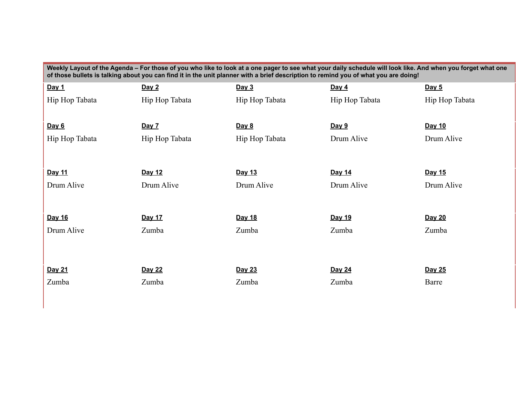| Weekly Layout of the Agenda - For those of you who like to look at a one pager to see what your daily schedule will look like. And when you forget what one<br>of those bullets is talking about you can find it in the unit planner with a brief description to remind you of what you are doing! |                |                |                |                |
|----------------------------------------------------------------------------------------------------------------------------------------------------------------------------------------------------------------------------------------------------------------------------------------------------|----------------|----------------|----------------|----------------|
| Day 1                                                                                                                                                                                                                                                                                              | Day 2          | Day 3          | Day $4$        | Day 5          |
| Hip Hop Tabata                                                                                                                                                                                                                                                                                     | Hip Hop Tabata | Hip Hop Tabata | Hip Hop Tabata | Hip Hop Tabata |
|                                                                                                                                                                                                                                                                                                    |                |                |                |                |
| <u>Day 6</u>                                                                                                                                                                                                                                                                                       | <u>Day 7</u>   | <u>Day 8</u>   | <u>Day 9</u>   | Day 10         |
| Hip Hop Tabata                                                                                                                                                                                                                                                                                     | Hip Hop Tabata | Hip Hop Tabata | Drum Alive     | Drum Alive     |
|                                                                                                                                                                                                                                                                                                    |                |                |                |                |
| Day 11                                                                                                                                                                                                                                                                                             | Day 12         | Day 13         | Day 14         | Day 15         |
| Drum Alive                                                                                                                                                                                                                                                                                         | Drum Alive     | Drum Alive     | Drum Alive     | Drum Alive     |
|                                                                                                                                                                                                                                                                                                    |                |                |                |                |
| Day 16                                                                                                                                                                                                                                                                                             | Day 17         | Day 18         | Day 19         | Day 20         |
| Drum Alive                                                                                                                                                                                                                                                                                         | Zumba          | Zumba          | Zumba          | Zumba          |
|                                                                                                                                                                                                                                                                                                    |                |                |                |                |
|                                                                                                                                                                                                                                                                                                    |                |                |                |                |
| Day 21                                                                                                                                                                                                                                                                                             | Day 22         | Day 23         | Day 24         | Day 25         |
| Zumba                                                                                                                                                                                                                                                                                              | Zumba          | Zumba          | Zumba          | Barre          |